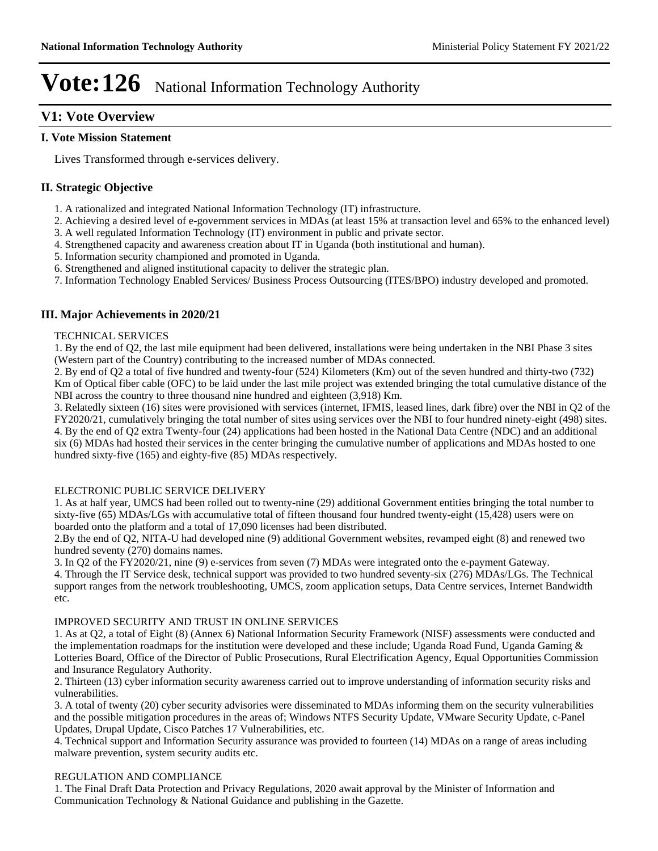# **V1: Vote Overview**

#### **I. Vote Mission Statement**

Lives Transformed through e-services delivery.

## **II. Strategic Objective**

- 1. A rationalized and integrated National Information Technology (IT) infrastructure.
- 2. Achieving a desired level of e-government services in MDAs (at least 15% at transaction level and 65% to the enhanced level) 3. A well regulated Information Technology (IT) environment in public and private sector.
- 4. Strengthened capacity and awareness creation about IT in Uganda (both institutional and human).
- 5. Information security championed and promoted in Uganda.
- 6. Strengthened and aligned institutional capacity to deliver the strategic plan.
- 7. Information Technology Enabled Services/ Business Process Outsourcing (ITES/BPO) industry developed and promoted.

## **III. Major Achievements in 2020/21**

#### TECHNICAL SERVICES

1. By the end of Q2, the last mile equipment had been delivered, installations were being undertaken in the NBI Phase 3 sites (Western part of the Country) contributing to the increased number of MDAs connected.

2. By end of Q2 a total of five hundred and twenty-four (524) Kilometers (Km) out of the seven hundred and thirty-two (732) Km of Optical fiber cable (OFC) to be laid under the last mile project was extended bringing the total cumulative distance of the NBI across the country to three thousand nine hundred and eighteen (3,918) Km.

3. Relatedly sixteen (16) sites were provisioned with services (internet, IFMIS, leased lines, dark fibre) over the NBI in Q2 of the FY2020/21, cumulatively bringing the total number of sites using services over the NBI to four hundred ninety-eight (498) sites. 4. By the end of Q2 extra Twenty-four (24) applications had been hosted in the National Data Centre (NDC) and an additional six (6) MDAs had hosted their services in the center bringing the cumulative number of applications and MDAs hosted to one hundred sixty-five (165) and eighty-five (85) MDAs respectively.

#### ELECTRONIC PUBLIC SERVICE DELIVERY

1. As at half year, UMCS had been rolled out to twenty-nine (29) additional Government entities bringing the total number to sixty-five (65) MDAs/LGs with accumulative total of fifteen thousand four hundred twenty-eight (15,428) users were on boarded onto the platform and a total of 17,090 licenses had been distributed.

2.By the end of Q2, NITA-U had developed nine (9) additional Government websites, revamped eight (8) and renewed two hundred seventy (270) domains names.

3. In Q2 of the FY2020/21, nine (9) e-services from seven (7) MDAs were integrated onto the e-payment Gateway. 4. Through the IT Service desk, technical support was provided to two hundred seventy-six (276) MDAs/LGs. The Technical support ranges from the network troubleshooting, UMCS, zoom application setups, Data Centre services, Internet Bandwidth etc.

#### IMPROVED SECURITY AND TRUST IN ONLINE SERVICES

1. As at Q2, a total of Eight (8) (Annex 6) National Information Security Framework (NISF) assessments were conducted and the implementation roadmaps for the institution were developed and these include; Uganda Road Fund, Uganda Gaming & Lotteries Board, Office of the Director of Public Prosecutions, Rural Electrification Agency, Equal Opportunities Commission and Insurance Regulatory Authority.

2. Thirteen (13) cyber information security awareness carried out to improve understanding of information security risks and vulnerabilities.

3. A total of twenty (20) cyber security advisories were disseminated to MDAs informing them on the security vulnerabilities and the possible mitigation procedures in the areas of; Windows NTFS Security Update, VMware Security Update, c-Panel Updates, Drupal Update, Cisco Patches 17 Vulnerabilities, etc.

4. Technical support and Information Security assurance was provided to fourteen (14) MDAs on a range of areas including malware prevention, system security audits etc.

#### REGULATION AND COMPLIANCE

1. The Final Draft Data Protection and Privacy Regulations, 2020 await approval by the Minister of Information and Communication Technology & National Guidance and publishing in the Gazette.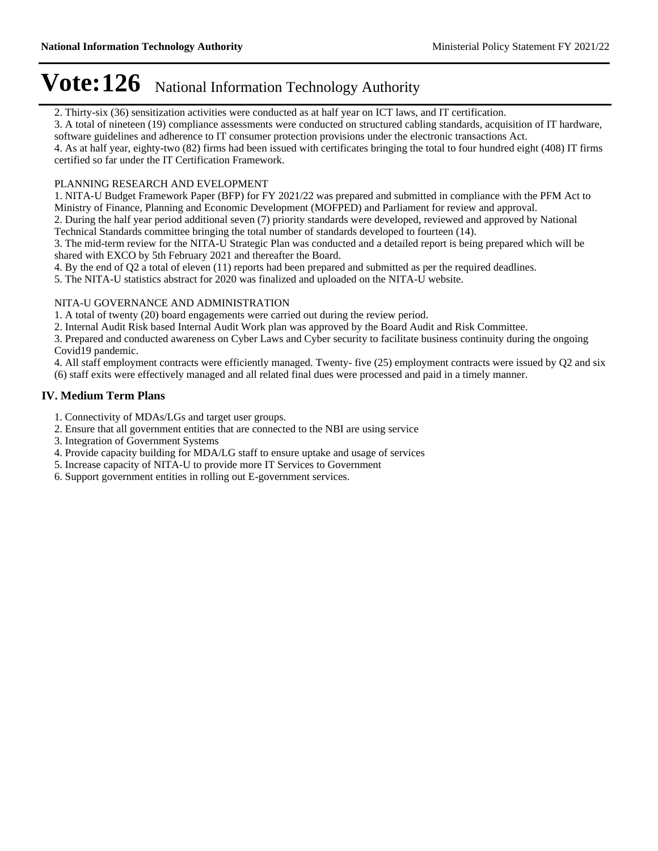2. Thirty-six (36) sensitization activities were conducted as at half year on ICT laws, and IT certification.

3. A total of nineteen (19) compliance assessments were conducted on structured cabling standards, acquisition of IT hardware, software guidelines and adherence to IT consumer protection provisions under the electronic transactions Act.

4. As at half year, eighty-two (82) firms had been issued with certificates bringing the total to four hundred eight (408) IT firms certified so far under the IT Certification Framework.

#### PLANNING RESEARCH AND EVELOPMENT

1. NITA-U Budget Framework Paper (BFP) for FY 2021/22 was prepared and submitted in compliance with the PFM Act to Ministry of Finance, Planning and Economic Development (MOFPED) and Parliament for review and approval.

2. During the half year period additional seven (7) priority standards were developed, reviewed and approved by National Technical Standards committee bringing the total number of standards developed to fourteen (14).

3. The mid-term review for the NITA-U Strategic Plan was conducted and a detailed report is being prepared which will be shared with EXCO by 5th February 2021 and thereafter the Board.

4. By the end of Q2 a total of eleven (11) reports had been prepared and submitted as per the required deadlines.

5. The NITA-U statistics abstract for 2020 was finalized and uploaded on the NITA-U website.

#### NITA-U GOVERNANCE AND ADMINISTRATION

1. A total of twenty (20) board engagements were carried out during the review period.

2. Internal Audit Risk based Internal Audit Work plan was approved by the Board Audit and Risk Committee.

3. Prepared and conducted awareness on Cyber Laws and Cyber security to facilitate business continuity during the ongoing Covid19 pandemic.

4. All staff employment contracts were efficiently managed. Twenty- five (25) employment contracts were issued by Q2 and six

(6) staff exits were effectively managed and all related final dues were processed and paid in a timely manner.

### **IV. Medium Term Plans**

1. Connectivity of MDAs/LGs and target user groups.

- 2. Ensure that all government entities that are connected to the NBI are using service
- 3. Integration of Government Systems
- 4. Provide capacity building for MDA/LG staff to ensure uptake and usage of services
- 5. Increase capacity of NITA-U to provide more IT Services to Government
- 6. Support government entities in rolling out E-government services.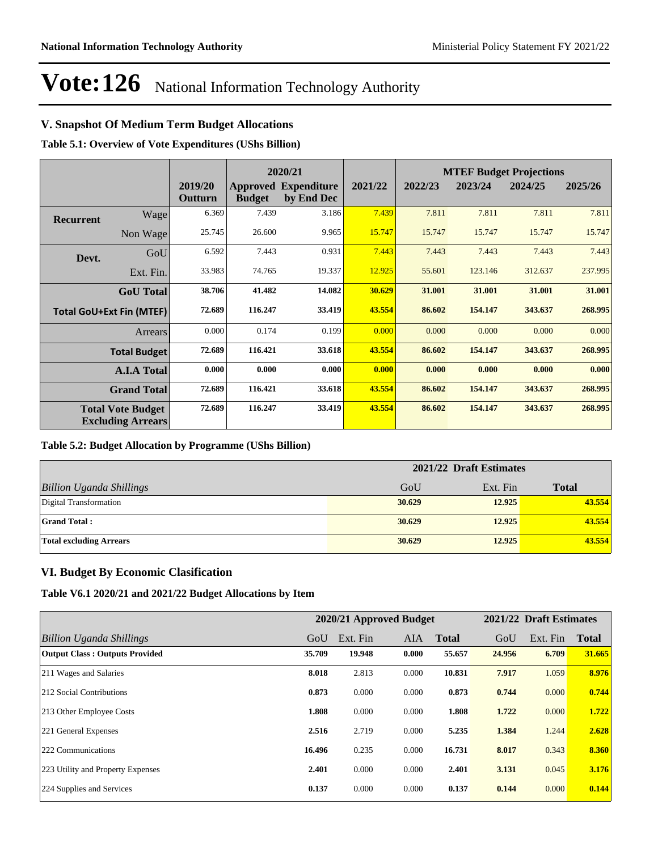# **V. Snapshot Of Medium Term Budget Allocations**

**Table 5.1: Overview of Vote Expenditures (UShs Billion)**

|                  |                                                      | 2020/21            |               | <b>MTEF Budget Projections</b>            |         |         |         |         |         |
|------------------|------------------------------------------------------|--------------------|---------------|-------------------------------------------|---------|---------|---------|---------|---------|
|                  |                                                      | 2019/20<br>Outturn | <b>Budget</b> | <b>Approved Expenditure</b><br>by End Dec | 2021/22 | 2022/23 | 2023/24 | 2024/25 | 2025/26 |
| <b>Recurrent</b> | Wage                                                 | 6.369              | 7.439         | 3.186                                     | 7.439   | 7.811   | 7.811   | 7.811   | 7.811   |
|                  | Non Wage                                             | 25.745             | 26.600        | 9.965                                     | 15.747  | 15.747  | 15.747  | 15.747  | 15.747  |
| Devt.            | GoU                                                  | 6.592              | 7.443         | 0.931                                     | 7.443   | 7.443   | 7.443   | 7.443   | 7.443   |
|                  | Ext. Fin.                                            | 33.983             | 74.765        | 19.337                                    | 12.925  | 55.601  | 123.146 | 312.637 | 237.995 |
|                  | <b>GoU</b> Total                                     | 38.706             | 41.482        | 14.082                                    | 30.629  | 31.001  | 31.001  | 31.001  | 31.001  |
|                  | <b>Total GoU+Ext Fin (MTEF)</b>                      | 72.689             | 116.247       | 33.419                                    | 43.554  | 86.602  | 154.147 | 343.637 | 268.995 |
|                  | Arrears                                              | 0.000              | 0.174         | 0.199                                     | 0.000   | 0.000   | 0.000   | 0.000   | 0.000   |
|                  | <b>Total Budget</b>                                  | 72.689             | 116.421       | 33.618                                    | 43.554  | 86.602  | 154.147 | 343.637 | 268.995 |
|                  | <b>A.I.A Total</b>                                   | 0.000              | 0.000         | 0.000                                     | 0.000   | 0.000   | 0.000   | 0.000   | 0.000   |
|                  | <b>Grand Total</b>                                   | 72.689             | 116.421       | 33.618                                    | 43.554  | 86.602  | 154.147 | 343.637 | 268.995 |
|                  | <b>Total Vote Budget</b><br><b>Excluding Arrears</b> | 72.689             | 116.247       | 33.419                                    | 43.554  | 86.602  | 154.147 | 343.637 | 268.995 |

#### **Table 5.2: Budget Allocation by Programme (UShs Billion)**

|                                 | 2021/22 Draft Estimates |          |              |  |  |
|---------------------------------|-------------------------|----------|--------------|--|--|
| <b>Billion Uganda Shillings</b> | GoU                     | Ext. Fin | <b>Total</b> |  |  |
| Digital Transformation          | 30.629                  | 12.925   | 43.554       |  |  |
| <b>Grand Total:</b>             | 30.629                  | 12.925   | 43.554       |  |  |
| <b>Total excluding Arrears</b>  | 30.629                  | 12.925   | 43.554       |  |  |

### **VI. Budget By Economic Clasification**

**Table V6.1 2020/21 and 2021/22 Budget Allocations by Item**

|                                       |        |          | 2020/21 Approved Budget |              |        | 2021/22 Draft Estimates |              |
|---------------------------------------|--------|----------|-------------------------|--------------|--------|-------------------------|--------------|
| Billion Uganda Shillings              | GoU    | Ext. Fin | <b>AIA</b>              | <b>Total</b> | GoU    | Ext. Fin                | <b>Total</b> |
| <b>Output Class: Outputs Provided</b> | 35.709 | 19.948   | 0.000                   | 55.657       | 24.956 | 6.709                   | 31.665       |
| 211 Wages and Salaries                | 8.018  | 2.813    | 0.000                   | 10.831       | 7.917  | 1.059                   | 8.976        |
| 212 Social Contributions              | 0.873  | 0.000    | 0.000                   | 0.873        | 0.744  | 0.000                   | 0.744        |
| 213 Other Employee Costs              | 1.808  | 0.000    | 0.000                   | 1.808        | 1.722  | 0.000                   | 1.722        |
| 221 General Expenses                  | 2.516  | 2.719    | 0.000                   | 5.235        | 1.384  | 1.244                   | 2.628        |
| 222 Communications                    | 16.496 | 0.235    | 0.000                   | 16.731       | 8.017  | 0.343                   | 8.360        |
| 223 Utility and Property Expenses     | 2.401  | 0.000    | 0.000                   | 2.401        | 3.131  | 0.045                   | 3.176        |
| 224 Supplies and Services             | 0.137  | 0.000    | 0.000                   | 0.137        | 0.144  | 0.000                   | 0.144        |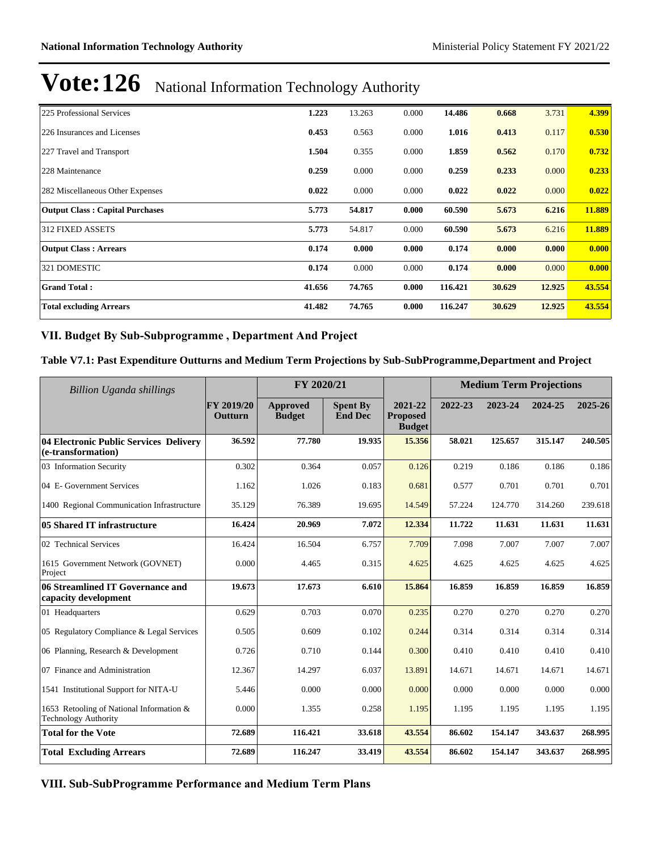| 225 Professional Services              | 1.223  | 13.263 | 0.000 | 14.486  | 0.668  | 3.731  | 4.399  |
|----------------------------------------|--------|--------|-------|---------|--------|--------|--------|
| 226 Insurances and Licenses            | 0.453  | 0.563  | 0.000 | 1.016   | 0.413  | 0.117  | 0.530  |
| 227 Travel and Transport               | 1.504  | 0.355  | 0.000 | 1.859   | 0.562  | 0.170  | 0.732  |
| 228 Maintenance                        | 0.259  | 0.000  | 0.000 | 0.259   | 0.233  | 0.000  | 0.233  |
| 282 Miscellaneous Other Expenses       | 0.022  | 0.000  | 0.000 | 0.022   | 0.022  | 0.000  | 0.022  |
| <b>Output Class: Capital Purchases</b> | 5.773  | 54.817 | 0.000 | 60.590  | 5.673  | 6.216  | 11.889 |
| 312 FIXED ASSETS                       | 5.773  | 54.817 | 0.000 | 60.590  | 5.673  | 6.216  | 11.889 |
| <b>Output Class: Arrears</b>           | 0.174  | 0.000  | 0.000 | 0.174   | 0.000  | 0.000  | 0.000  |
| 321 DOMESTIC                           | 0.174  | 0.000  | 0.000 | 0.174   | 0.000  | 0.000  | 0.000  |
| <b>Grand Total:</b>                    | 41.656 | 74.765 | 0.000 | 116.421 | 30.629 | 12.925 | 43.554 |
| <b>Total excluding Arrears</b>         | 41.482 | 74.765 | 0.000 | 116.247 | 30.629 | 12.925 | 43.554 |

#### VII. Budget By Sub-Subprogramme, Department And Project

#### **Table V7.1: Past Expenditure Outturns and Medium Term Projections by Sub-SubProgramme,Department and Project**

| Billion Uganda shillings                                                |                       | FY 2020/21                |                                   |                                             |         | <b>Medium Term Projections</b> |         |         |
|-------------------------------------------------------------------------|-----------------------|---------------------------|-----------------------------------|---------------------------------------------|---------|--------------------------------|---------|---------|
|                                                                         | FY 2019/20<br>Outturn | Approved<br><b>Budget</b> | <b>Spent By</b><br><b>End Dec</b> | 2021-22<br><b>Proposed</b><br><b>Budget</b> | 2022-23 | 2023-24                        | 2024-25 | 2025-26 |
| 04 Electronic Public Services Delivery<br>(e-transformation)            | 36.592                | 77.780                    | 19.935                            | 15.356                                      | 58.021  | 125.657                        | 315.147 | 240.505 |
| 03 Information Security                                                 | 0.302                 | 0.364                     | 0.057                             | 0.126                                       | 0.219   | 0.186                          | 0.186   | 0.186   |
| 04 E- Government Services                                               | 1.162                 | 1.026                     | 0.183                             | 0.681                                       | 0.577   | 0.701                          | 0.701   | 0.701   |
| 1400 Regional Communication Infrastructure                              | 35.129                | 76.389                    | 19.695                            | 14.549                                      | 57.224  | 124.770                        | 314.260 | 239.618 |
| 05 Shared IT infrastructure                                             | 16.424                | 20.969                    | 7.072                             | 12.334                                      | 11.722  | 11.631                         | 11.631  | 11.631  |
| 02 Technical Services                                                   | 16.424                | 16.504                    | 6.757                             | 7.709                                       | 7.098   | 7.007                          | 7.007   | 7.007   |
| 1615 Government Network (GOVNET)<br>Project                             | 0.000                 | 4.465                     | 0.315                             | 4.625                                       | 4.625   | 4.625                          | 4.625   | 4.625   |
| 06 Streamlined IT Governance and<br>capacity development                | 19.673                | 17.673                    | 6.610                             | 15.864                                      | 16.859  | 16.859                         | 16.859  | 16.859  |
| 01 Headquarters                                                         | 0.629                 | 0.703                     | 0.070                             | 0.235                                       | 0.270   | 0.270                          | 0.270   | 0.270   |
| 05 Regulatory Compliance & Legal Services                               | 0.505                 | 0.609                     | 0.102                             | 0.244                                       | 0.314   | 0.314                          | 0.314   | 0.314   |
| 06 Planning, Research & Development                                     | 0.726                 | 0.710                     | 0.144                             | 0.300                                       | 0.410   | 0.410                          | 0.410   | 0.410   |
| 07 Finance and Administration                                           | 12.367                | 14.297                    | 6.037                             | 13.891                                      | 14.671  | 14.671                         | 14.671  | 14.671  |
| 1541 Institutional Support for NITA-U                                   | 5.446                 | 0.000                     | 0.000                             | 0.000                                       | 0.000   | 0.000                          | 0.000   | 0.000   |
| 1653 Retooling of National Information &<br><b>Technology Authority</b> | 0.000                 | 1.355                     | 0.258                             | 1.195                                       | 1.195   | 1.195                          | 1.195   | 1.195   |
| <b>Total for the Vote</b>                                               | 72.689                | 116.421                   | 33.618                            | 43.554                                      | 86.602  | 154.147                        | 343.637 | 268.995 |
| <b>Total Excluding Arrears</b>                                          | 72.689                | 116.247                   | 33.419                            | 43.554                                      | 86.602  | 154.147                        | 343.637 | 268.995 |

**VIII. Sub-SubProgramme Performance and Medium Term Plans**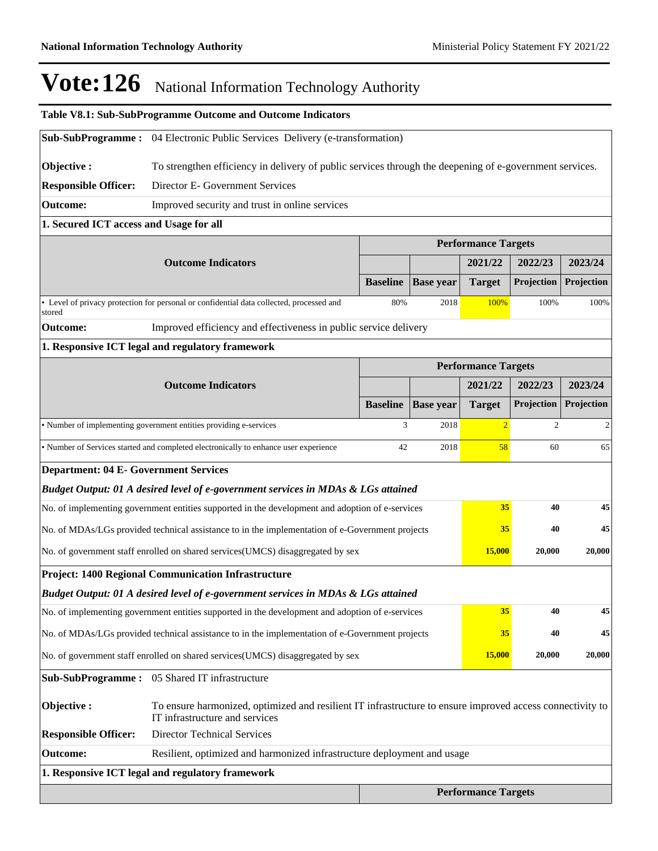$\mathbb{L}$ 

# Vote: 126 National Information Technology Authority

|                                                                                                                                                           | Table V8.1: Sub-SubProgramme Outcome and Outcome Indicators                                             |                 |                  |                            |                   |            |  |  |  |  |
|-----------------------------------------------------------------------------------------------------------------------------------------------------------|---------------------------------------------------------------------------------------------------------|-----------------|------------------|----------------------------|-------------------|------------|--|--|--|--|
| <b>Sub-SubProgramme:</b> 04 Electronic Public Services Delivery (e-transformation)                                                                        |                                                                                                         |                 |                  |                            |                   |            |  |  |  |  |
| Objective:                                                                                                                                                | To strengthen efficiency in delivery of public services through the deepening of e-government services. |                 |                  |                            |                   |            |  |  |  |  |
| <b>Responsible Officer:</b>                                                                                                                               | Director E- Government Services                                                                         |                 |                  |                            |                   |            |  |  |  |  |
| Improved security and trust in online services<br><b>Outcome:</b>                                                                                         |                                                                                                         |                 |                  |                            |                   |            |  |  |  |  |
| 1. Secured ICT access and Usage for all                                                                                                                   |                                                                                                         |                 |                  |                            |                   |            |  |  |  |  |
|                                                                                                                                                           | <b>Performance Targets</b>                                                                              |                 |                  |                            |                   |            |  |  |  |  |
|                                                                                                                                                           | <b>Outcome Indicators</b>                                                                               |                 |                  | 2021/22                    | 2022/23           | 2023/24    |  |  |  |  |
|                                                                                                                                                           |                                                                                                         | <b>Baseline</b> | <b>Base year</b> | <b>Target</b>              | <b>Projection</b> | Projection |  |  |  |  |
| stored                                                                                                                                                    | • Level of privacy protection for personal or confidential data collected, processed and                | 80%             | 2018             | 100%                       | 100%              | 100%       |  |  |  |  |
| Outcome:                                                                                                                                                  | Improved efficiency and effectiveness in public service delivery                                        |                 |                  |                            |                   |            |  |  |  |  |
|                                                                                                                                                           | 1. Responsive ICT legal and regulatory framework                                                        |                 |                  |                            |                   |            |  |  |  |  |
|                                                                                                                                                           |                                                                                                         |                 |                  | <b>Performance Targets</b> |                   |            |  |  |  |  |
|                                                                                                                                                           | <b>Outcome Indicators</b>                                                                               |                 |                  | 2021/22                    | 2022/23           | 2023/24    |  |  |  |  |
|                                                                                                                                                           |                                                                                                         | <b>Baseline</b> | <b>Base year</b> | <b>Target</b>              | Projection        | Projection |  |  |  |  |
|                                                                                                                                                           | • Number of implementing government entities providing e-services                                       | 3               | 2018             | $\overline{2}$             | $\overline{c}$    | 2          |  |  |  |  |
|                                                                                                                                                           | • Number of Services started and completed electronically to enhance user experience                    | 42              | 2018             | 58                         | 60                | 65         |  |  |  |  |
| <b>Department: 04 E- Government Services</b>                                                                                                              |                                                                                                         |                 |                  |                            |                   |            |  |  |  |  |
|                                                                                                                                                           | Budget Output: 01 A desired level of e-government services in MDAs & LGs attained                       |                 |                  |                            |                   |            |  |  |  |  |
|                                                                                                                                                           | No. of implementing government entities supported in the development and adoption of e-services         |                 |                  | 35                         | 40                | 45         |  |  |  |  |
|                                                                                                                                                           | No. of MDAs/LGs provided technical assistance to in the implementation of e-Government projects         |                 |                  | 35                         | 40                | 45         |  |  |  |  |
|                                                                                                                                                           | No. of government staff enrolled on shared services(UMCS) disaggregated by sex                          |                 |                  | <b>15,000</b>              | 20,000            | 20,000     |  |  |  |  |
|                                                                                                                                                           | Project: 1400 Regional Communication Infrastructure                                                     |                 |                  |                            |                   |            |  |  |  |  |
|                                                                                                                                                           | Budget Output: 01 A desired level of e-government services in MDAs & LGs attained                       |                 |                  |                            |                   |            |  |  |  |  |
|                                                                                                                                                           | No. of implementing government entities supported in the development and adoption of e-services         |                 |                  | 35                         | 40                | 45         |  |  |  |  |
|                                                                                                                                                           | No. of MDAs/LGs provided technical assistance to in the implementation of e-Government projects         |                 |                  | 35                         | 40                | 45         |  |  |  |  |
|                                                                                                                                                           | No. of government staff enrolled on shared services(UMCS) disaggregated by sex                          |                 |                  | 15,000                     | 20,000            | 20,000     |  |  |  |  |
|                                                                                                                                                           | Sub-SubProgramme: 05 Shared IT infrastructure                                                           |                 |                  |                            |                   |            |  |  |  |  |
| Objective:<br>To ensure harmonized, optimized and resilient IT infrastructure to ensure improved access connectivity to<br>IT infrastructure and services |                                                                                                         |                 |                  |                            |                   |            |  |  |  |  |
| <b>Director Technical Services</b><br><b>Responsible Officer:</b>                                                                                         |                                                                                                         |                 |                  |                            |                   |            |  |  |  |  |
| Resilient, optimized and harmonized infrastructure deployment and usage<br><b>Outcome:</b>                                                                |                                                                                                         |                 |                  |                            |                   |            |  |  |  |  |
| 1. Responsive ICT legal and regulatory framework                                                                                                          |                                                                                                         |                 |                  |                            |                   |            |  |  |  |  |
|                                                                                                                                                           |                                                                                                         |                 |                  | <b>Performance Targets</b> |                   |            |  |  |  |  |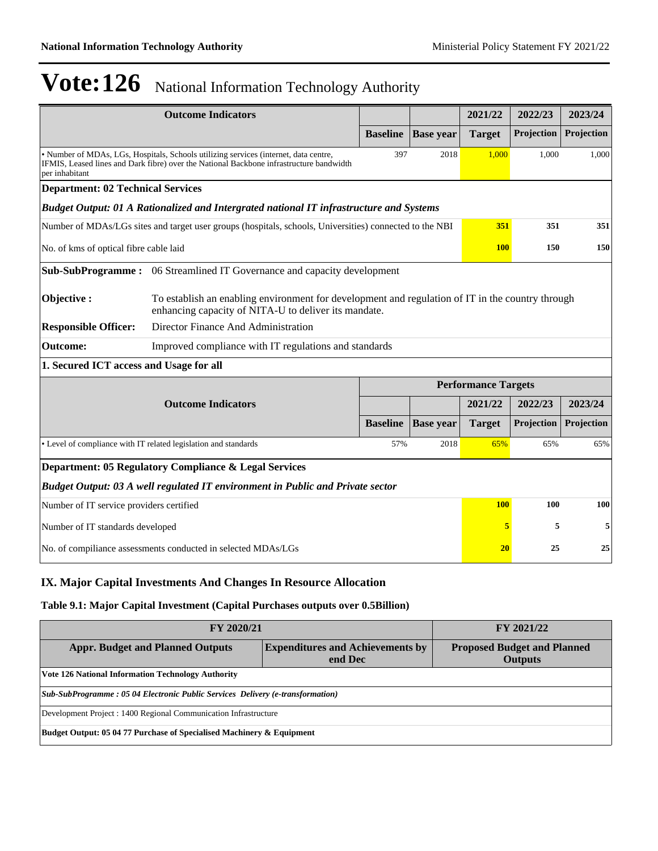|                                                               | <b>Outcome Indicators</b>                                                                                                                                                       |                 |                  | 2021/22                    | 2022/23    | 2023/24    |  |  |
|---------------------------------------------------------------|---------------------------------------------------------------------------------------------------------------------------------------------------------------------------------|-----------------|------------------|----------------------------|------------|------------|--|--|
|                                                               |                                                                                                                                                                                 | <b>Baseline</b> | <b>Base year</b> | <b>Target</b>              | Projection | Projection |  |  |
| per inhabitant                                                | • Number of MDAs, LGs, Hospitals, Schools utilizing services (internet, data centre,<br>IFMIS, Leased lines and Dark fibre) over the National Backbone infrastructure bandwidth | 397             | 2018             | 1,000                      | 1,000      | 1,000      |  |  |
| <b>Department: 02 Technical Services</b>                      |                                                                                                                                                                                 |                 |                  |                            |            |            |  |  |
|                                                               | Budget Output: 01 A Rationalized and Intergrated national IT infrastructure and Systems                                                                                         |                 |                  |                            |            |            |  |  |
|                                                               | Number of MDAs/LGs sites and target user groups (hospitals, schools, Universities) connected to the NBI                                                                         |                 |                  | 351                        | 351        | 351        |  |  |
| No. of kms of optical fibre cable laid                        |                                                                                                                                                                                 |                 |                  | <b>100</b>                 | 150        | 150        |  |  |
| <b>Sub-SubProgramme:</b>                                      | 06 Streamlined IT Governance and capacity development                                                                                                                           |                 |                  |                            |            |            |  |  |
| Objective:                                                    | To establish an enabling environment for development and regulation of IT in the country through<br>enhancing capacity of NITA-U to deliver its mandate.                        |                 |                  |                            |            |            |  |  |
| <b>Responsible Officer:</b>                                   | Director Finance And Administration                                                                                                                                             |                 |                  |                            |            |            |  |  |
| <b>Outcome:</b>                                               | Improved compliance with IT regulations and standards                                                                                                                           |                 |                  |                            |            |            |  |  |
| 1. Secured ICT access and Usage for all                       |                                                                                                                                                                                 |                 |                  |                            |            |            |  |  |
|                                                               |                                                                                                                                                                                 |                 |                  | <b>Performance Targets</b> |            |            |  |  |
|                                                               | <b>Outcome Indicators</b>                                                                                                                                                       |                 |                  | 2021/22                    | 2022/23    | 2023/24    |  |  |
|                                                               |                                                                                                                                                                                 | <b>Baseline</b> | <b>Base</b> year | <b>Target</b>              | Projection | Projection |  |  |
|                                                               | • Level of compliance with IT related legislation and standards                                                                                                                 | 57%             | 2018             | 65%                        | 65%        | 65%        |  |  |
|                                                               | Department: 05 Regulatory Compliance & Legal Services                                                                                                                           |                 |                  |                            |            |            |  |  |
|                                                               | Budget Output: 03 A well regulated IT environment in Public and Private sector                                                                                                  |                 |                  |                            |            |            |  |  |
| Number of IT service providers certified                      | <b>100</b>                                                                                                                                                                      | 100             | 100              |                            |            |            |  |  |
| Number of IT standards developed                              | 5                                                                                                                                                                               | 5               | 5                |                            |            |            |  |  |
| No. of compiliance assessments conducted in selected MDAs/LGs | 20                                                                                                                                                                              | 25              | 25               |                            |            |            |  |  |

# **IX. Major Capital Investments And Changes In Resource Allocation**

### **Table 9.1: Major Capital Investment (Capital Purchases outputs over 0.5Billion)**

| FY 2020/21                                                                                                                                            | FY 2021/22 |  |  |  |  |  |  |
|-------------------------------------------------------------------------------------------------------------------------------------------------------|------------|--|--|--|--|--|--|
| <b>Expenditures and Achievements by</b><br><b>Appr. Budget and Planned Outputs</b><br><b>Proposed Budget and Planned</b><br>end Dec<br><b>Outputs</b> |            |  |  |  |  |  |  |
| <b>Vote 126 National Information Technology Authority</b>                                                                                             |            |  |  |  |  |  |  |
| Sub-SubProgramme: 05 04 Electronic Public Services Delivery (e-transformation)                                                                        |            |  |  |  |  |  |  |
| Development Project : 1400 Regional Communication Infrastructure                                                                                      |            |  |  |  |  |  |  |
| Budget Output: 05 04 77 Purchase of Specialised Machinery & Equipment                                                                                 |            |  |  |  |  |  |  |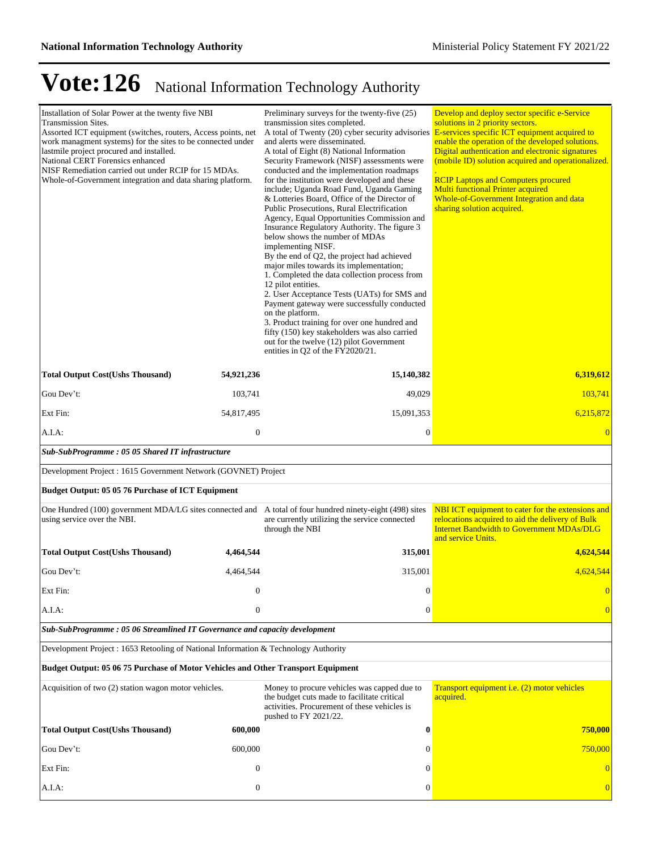| Installation of Solar Power at the twenty five NBI<br><b>Transmission Sites.</b><br>Assorted ICT equipment (switches, routers, Access points, net<br>work managment systems) for the sites to be connected under<br>lastmile project procured and installed.<br>National CERT Forensics enhanced<br>NISF Remediation carried out under RCIP for 15 MDAs.<br>Whole-of-Government integration and data sharing platform. |                  | Preliminary surveys for the twenty-five (25)<br>transmission sites completed.<br>A total of Twenty (20) cyber security advisories E-services specific ICT equipment acquired to<br>and alerts were disseminated.<br>A total of Eight (8) National Information<br>Security Framework (NISF) assessments were<br>conducted and the implementation roadmaps<br>for the institution were developed and these<br>include; Uganda Road Fund, Uganda Gaming<br>& Lotteries Board, Office of the Director of<br>Public Prosecutions, Rural Electrification<br>Agency, Equal Opportunities Commission and<br>Insurance Regulatory Authority. The figure 3<br>below shows the number of MDAs<br>implementing NISF.<br>By the end of Q2, the project had achieved<br>major miles towards its implementation;<br>1. Completed the data collection process from<br>12 pilot entities.<br>2. User Acceptance Tests (UATs) for SMS and<br>Payment gateway were successfully conducted<br>on the platform.<br>3. Product training for over one hundred and<br>fifty (150) key stakeholders was also carried<br>out for the twelve (12) pilot Government<br>entities in Q2 of the FY2020/21. | Develop and deploy sector specific e-Service<br>solutions in 2 priority sectors.<br>enable the operation of the developed solutions.<br>Digital authentication and electronic signatures<br>(mobile ID) solution acquired and operationalized.<br><b>RCIP Laptops and Computers procured</b><br><b>Multi functional Printer acquired</b><br>Whole-of-Government Integration and data<br>sharing solution acquired. |
|------------------------------------------------------------------------------------------------------------------------------------------------------------------------------------------------------------------------------------------------------------------------------------------------------------------------------------------------------------------------------------------------------------------------|------------------|-----------------------------------------------------------------------------------------------------------------------------------------------------------------------------------------------------------------------------------------------------------------------------------------------------------------------------------------------------------------------------------------------------------------------------------------------------------------------------------------------------------------------------------------------------------------------------------------------------------------------------------------------------------------------------------------------------------------------------------------------------------------------------------------------------------------------------------------------------------------------------------------------------------------------------------------------------------------------------------------------------------------------------------------------------------------------------------------------------------------------------------------------------------------------------|--------------------------------------------------------------------------------------------------------------------------------------------------------------------------------------------------------------------------------------------------------------------------------------------------------------------------------------------------------------------------------------------------------------------|
| <b>Total Output Cost(Ushs Thousand)</b>                                                                                                                                                                                                                                                                                                                                                                                | 54,921,236       | 15,140,382                                                                                                                                                                                                                                                                                                                                                                                                                                                                                                                                                                                                                                                                                                                                                                                                                                                                                                                                                                                                                                                                                                                                                                  | 6,319,612                                                                                                                                                                                                                                                                                                                                                                                                          |
| Gou Dev't:                                                                                                                                                                                                                                                                                                                                                                                                             | 103,741          | 49,029                                                                                                                                                                                                                                                                                                                                                                                                                                                                                                                                                                                                                                                                                                                                                                                                                                                                                                                                                                                                                                                                                                                                                                      | 103,741                                                                                                                                                                                                                                                                                                                                                                                                            |
| Ext Fin:                                                                                                                                                                                                                                                                                                                                                                                                               | 54,817,495       | 15,091,353                                                                                                                                                                                                                                                                                                                                                                                                                                                                                                                                                                                                                                                                                                                                                                                                                                                                                                                                                                                                                                                                                                                                                                  | 6,215,872                                                                                                                                                                                                                                                                                                                                                                                                          |
| A.I.A:                                                                                                                                                                                                                                                                                                                                                                                                                 | $\mathbf{0}$     | $\boldsymbol{0}$                                                                                                                                                                                                                                                                                                                                                                                                                                                                                                                                                                                                                                                                                                                                                                                                                                                                                                                                                                                                                                                                                                                                                            | $\overline{0}$                                                                                                                                                                                                                                                                                                                                                                                                     |
| Sub-SubProgramme: 05 05 Shared IT infrastructure                                                                                                                                                                                                                                                                                                                                                                       |                  |                                                                                                                                                                                                                                                                                                                                                                                                                                                                                                                                                                                                                                                                                                                                                                                                                                                                                                                                                                                                                                                                                                                                                                             |                                                                                                                                                                                                                                                                                                                                                                                                                    |
| Development Project : 1615 Government Network (GOVNET) Project                                                                                                                                                                                                                                                                                                                                                         |                  |                                                                                                                                                                                                                                                                                                                                                                                                                                                                                                                                                                                                                                                                                                                                                                                                                                                                                                                                                                                                                                                                                                                                                                             |                                                                                                                                                                                                                                                                                                                                                                                                                    |
| Budget Output: 05 05 76 Purchase of ICT Equipment                                                                                                                                                                                                                                                                                                                                                                      |                  |                                                                                                                                                                                                                                                                                                                                                                                                                                                                                                                                                                                                                                                                                                                                                                                                                                                                                                                                                                                                                                                                                                                                                                             |                                                                                                                                                                                                                                                                                                                                                                                                                    |
| One Hundred (100) government MDA/LG sites connected and A total of four hundred ninety-eight (498) sites<br>using service over the NBI.                                                                                                                                                                                                                                                                                |                  | are currently utilizing the service connected<br>through the NBI                                                                                                                                                                                                                                                                                                                                                                                                                                                                                                                                                                                                                                                                                                                                                                                                                                                                                                                                                                                                                                                                                                            | NBI ICT equipment to cater for the extensions and<br>relocations acquired to aid the delivery of Bulk<br><b>Internet Bandwidth to Government MDAs/DLG</b><br>and service Units.                                                                                                                                                                                                                                    |
| <b>Total Output Cost(Ushs Thousand)</b>                                                                                                                                                                                                                                                                                                                                                                                | 4,464,544        | 315,001                                                                                                                                                                                                                                                                                                                                                                                                                                                                                                                                                                                                                                                                                                                                                                                                                                                                                                                                                                                                                                                                                                                                                                     | 4,624,544                                                                                                                                                                                                                                                                                                                                                                                                          |
| Gou Dev't:                                                                                                                                                                                                                                                                                                                                                                                                             | 4.464.544        | 315,001                                                                                                                                                                                                                                                                                                                                                                                                                                                                                                                                                                                                                                                                                                                                                                                                                                                                                                                                                                                                                                                                                                                                                                     | 4,624,544                                                                                                                                                                                                                                                                                                                                                                                                          |
| Ext Fin:                                                                                                                                                                                                                                                                                                                                                                                                               | $\overline{0}$   | $\boldsymbol{0}$                                                                                                                                                                                                                                                                                                                                                                                                                                                                                                                                                                                                                                                                                                                                                                                                                                                                                                                                                                                                                                                                                                                                                            | $\overline{0}$                                                                                                                                                                                                                                                                                                                                                                                                     |
| A.I.A:                                                                                                                                                                                                                                                                                                                                                                                                                 | $\mathbf{0}$     | $\boldsymbol{0}$                                                                                                                                                                                                                                                                                                                                                                                                                                                                                                                                                                                                                                                                                                                                                                                                                                                                                                                                                                                                                                                                                                                                                            | $\overline{0}$                                                                                                                                                                                                                                                                                                                                                                                                     |
| Sub-SubProgramme: 05 06 Streamlined IT Governance and capacity development                                                                                                                                                                                                                                                                                                                                             |                  |                                                                                                                                                                                                                                                                                                                                                                                                                                                                                                                                                                                                                                                                                                                                                                                                                                                                                                                                                                                                                                                                                                                                                                             |                                                                                                                                                                                                                                                                                                                                                                                                                    |
| Development Project : 1653 Retooling of National Information & Technology Authority                                                                                                                                                                                                                                                                                                                                    |                  |                                                                                                                                                                                                                                                                                                                                                                                                                                                                                                                                                                                                                                                                                                                                                                                                                                                                                                                                                                                                                                                                                                                                                                             |                                                                                                                                                                                                                                                                                                                                                                                                                    |
| Budget Output: 05 06 75 Purchase of Motor Vehicles and Other Transport Equipment                                                                                                                                                                                                                                                                                                                                       |                  |                                                                                                                                                                                                                                                                                                                                                                                                                                                                                                                                                                                                                                                                                                                                                                                                                                                                                                                                                                                                                                                                                                                                                                             |                                                                                                                                                                                                                                                                                                                                                                                                                    |
| Acquisition of two (2) station wagon motor vehicles.                                                                                                                                                                                                                                                                                                                                                                   |                  | Money to procure vehicles was capped due to<br>the budget cuts made to facilitate critical<br>activities. Procurement of these vehicles is<br>pushed to FY 2021/22.                                                                                                                                                                                                                                                                                                                                                                                                                                                                                                                                                                                                                                                                                                                                                                                                                                                                                                                                                                                                         | Transport equipment i.e. (2) motor vehicles<br>acquired.                                                                                                                                                                                                                                                                                                                                                           |
| <b>Total Output Cost(Ushs Thousand)</b>                                                                                                                                                                                                                                                                                                                                                                                | 600,000          | $\bf{0}$                                                                                                                                                                                                                                                                                                                                                                                                                                                                                                                                                                                                                                                                                                                                                                                                                                                                                                                                                                                                                                                                                                                                                                    | 750,000                                                                                                                                                                                                                                                                                                                                                                                                            |
| Gou Dev't:                                                                                                                                                                                                                                                                                                                                                                                                             | 600,000          | $\mathbf{0}$                                                                                                                                                                                                                                                                                                                                                                                                                                                                                                                                                                                                                                                                                                                                                                                                                                                                                                                                                                                                                                                                                                                                                                | 750,000                                                                                                                                                                                                                                                                                                                                                                                                            |
| Ext Fin:                                                                                                                                                                                                                                                                                                                                                                                                               | $\boldsymbol{0}$ | $\Omega$                                                                                                                                                                                                                                                                                                                                                                                                                                                                                                                                                                                                                                                                                                                                                                                                                                                                                                                                                                                                                                                                                                                                                                    | $\overline{0}$                                                                                                                                                                                                                                                                                                                                                                                                     |
| A.I.A:                                                                                                                                                                                                                                                                                                                                                                                                                 | $\mathbf{0}$     | $\boldsymbol{0}$                                                                                                                                                                                                                                                                                                                                                                                                                                                                                                                                                                                                                                                                                                                                                                                                                                                                                                                                                                                                                                                                                                                                                            | $\mathbf{0}$                                                                                                                                                                                                                                                                                                                                                                                                       |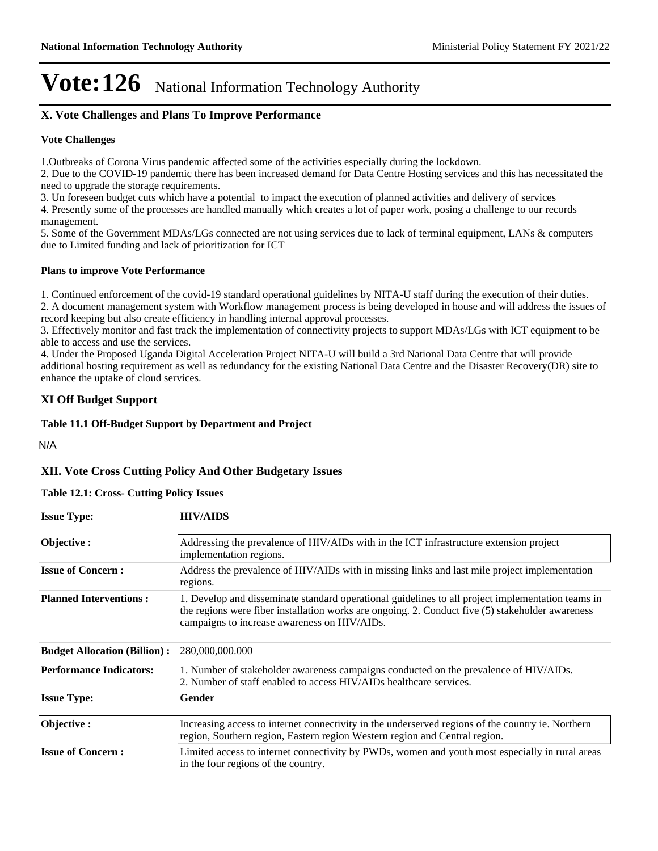## **X. Vote Challenges and Plans To Improve Performance**

#### **Vote Challenges**

1.Outbreaks of Corona Virus pandemic affected some of the activities especially during the lockdown.

2. Due to the COVID-19 pandemic there has been increased demand for Data Centre Hosting services and this has necessitated the need to upgrade the storage requirements.

3. Un foreseen budget cuts which have a potential to impact the execution of planned activities and delivery of services

4. Presently some of the processes are handled manually which creates a lot of paper work, posing a challenge to our records management.

5. Some of the Government MDAs/LGs connected are not using services due to lack of terminal equipment, LANs & computers due to Limited funding and lack of prioritization for ICT

#### **Plans to improve Vote Performance**

1. Continued enforcement of the covid-19 standard operational guidelines by NITA-U staff during the execution of their duties. 2. A document management system with Workflow management process is being developed in house and will address the issues of record keeping but also create efficiency in handling internal approval processes.

3. Effectively monitor and fast track the implementation of connectivity projects to support MDAs/LGs with ICT equipment to be able to access and use the services.

4. Under the Proposed Uganda Digital Acceleration Project NITA-U will build a 3rd National Data Centre that will provide additional hosting requirement as well as redundancy for the existing National Data Centre and the Disaster Recovery(DR) site to enhance the uptake of cloud services.

### **XI Off Budget Support**

#### **Table 11.1 Off-Budget Support by Department and Project**

N/A

### **XII. Vote Cross Cutting Policy And Other Budgetary Issues**

#### **Table 12.1: Cross- Cutting Policy Issues**

| <b>Issue Type:</b>                  | <b>HIV/AIDS</b>                                                                                                                                                                                                                                       |
|-------------------------------------|-------------------------------------------------------------------------------------------------------------------------------------------------------------------------------------------------------------------------------------------------------|
| Objective:                          | Addressing the prevalence of HIV/AIDs with in the ICT infrastructure extension project<br>implementation regions.                                                                                                                                     |
| <b>Issue of Concern:</b>            | Address the prevalence of HIV/AIDs with in missing links and last mile project implementation<br>regions.                                                                                                                                             |
| <b>Planned Interventions:</b>       | 1. Develop and disseminate standard operational guidelines to all project implementation teams in<br>the regions were fiber installation works are ongoing. 2. Conduct five (5) stakeholder awareness<br>campaigns to increase awareness on HIV/AIDs. |
| <b>Budget Allocation (Billion):</b> | 280,000,000.000                                                                                                                                                                                                                                       |
| <b>Performance Indicators:</b>      | 1. Number of stakeholder awareness campaigns conducted on the prevalence of HIV/AIDs.<br>2. Number of staff enabled to access HIV/AIDs healthcare services.                                                                                           |
| <b>Issue Type:</b>                  | Gender                                                                                                                                                                                                                                                |
| Objective:                          | Increasing access to internet connectivity in the underserved regions of the country ie. Northern<br>region, Southern region, Eastern region Western region and Central region.                                                                       |
| <b>Issue of Concern:</b>            | Limited access to internet connectivity by PWDs, women and youth most especially in rural areas<br>in the four regions of the country.                                                                                                                |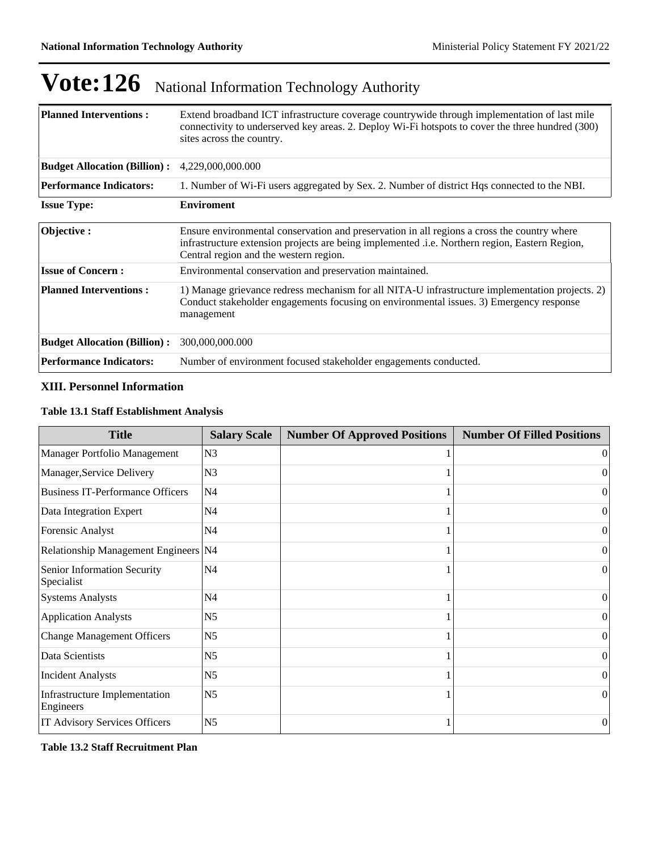| <b>Planned Interventions:</b>                                                                                                 | Extend broadband ICT infrastructure coverage countrywide through implementation of last mile<br>connectivity to underserved key areas. 2. Deploy Wi-Fi hotspots to cover the three hundred (300)<br>sites across the country.           |  |  |
|-------------------------------------------------------------------------------------------------------------------------------|-----------------------------------------------------------------------------------------------------------------------------------------------------------------------------------------------------------------------------------------|--|--|
| <b>Budget Allocation (Billion):</b>                                                                                           | 4,229,000,000.000                                                                                                                                                                                                                       |  |  |
| <b>Performance Indicators:</b><br>1. Number of Wi-Fi users aggregated by Sex. 2. Number of district Hqs connected to the NBI. |                                                                                                                                                                                                                                         |  |  |
| <b>Issue Type:</b>                                                                                                            | <b>Enviroment</b>                                                                                                                                                                                                                       |  |  |
| Objective:                                                                                                                    | Ensure environmental conservation and preservation in all regions a cross the country where<br>infrastructure extension projects are being implemented .i.e. Northern region, Eastern Region,<br>Central region and the western region. |  |  |
| <b>Issue of Concern:</b>                                                                                                      | Environmental conservation and preservation maintained.                                                                                                                                                                                 |  |  |
| <b>Planned Interventions:</b>                                                                                                 | 1) Manage grievance redress mechanism for all NITA-U infrastructure implementation projects. 2)<br>Conduct stakeholder engagements focusing on environmental issues. 3) Emergency response<br>management                                |  |  |
| <b>Budget Allocation (Billion):</b>                                                                                           | 300,000,000.000                                                                                                                                                                                                                         |  |  |
| <b>Performance Indicators:</b>                                                                                                | Number of environment focused stakeholder engagements conducted.                                                                                                                                                                        |  |  |

### **XIII. Personnel Information**

#### **Table 13.1 Staff Establishment Analysis**

| <b>Title</b>                               | <b>Salary Scale</b> | <b>Number Of Approved Positions</b> | <b>Number Of Filled Positions</b> |
|--------------------------------------------|---------------------|-------------------------------------|-----------------------------------|
| Manager Portfolio Management               | N <sub>3</sub>      |                                     | $\vert$ 0                         |
| Manager, Service Delivery                  | N <sub>3</sub>      |                                     | $\Omega$                          |
| <b>Business IT-Performance Officers</b>    | N <sub>4</sub>      |                                     | $\Omega$                          |
| Data Integration Expert                    | N <sub>4</sub>      |                                     | $\vert$ 0                         |
| Forensic Analyst                           | N <sub>4</sub>      |                                     | $\Omega$                          |
| Relationship Management Engineers N4       |                     |                                     | $\overline{0}$                    |
| Senior Information Security<br>Specialist  | N <sub>4</sub>      |                                     | $\Omega$                          |
| <b>Systems Analysts</b>                    | N4                  |                                     | $\overline{0}$                    |
| <b>Application Analysts</b>                | N <sub>5</sub>      |                                     | $\Omega$                          |
| <b>Change Management Officers</b>          | N <sub>5</sub>      |                                     | $\Omega$                          |
| Data Scientists                            | N <sub>5</sub>      |                                     | 0                                 |
| <b>Incident Analysts</b>                   | N <sub>5</sub>      |                                     | $\Omega$                          |
| Infrastructure Implementation<br>Engineers | N <sub>5</sub>      |                                     | $\Omega$                          |
| IT Advisory Services Officers              | N <sub>5</sub>      |                                     | $\overline{0}$                    |

**Table 13.2 Staff Recruitment Plan**